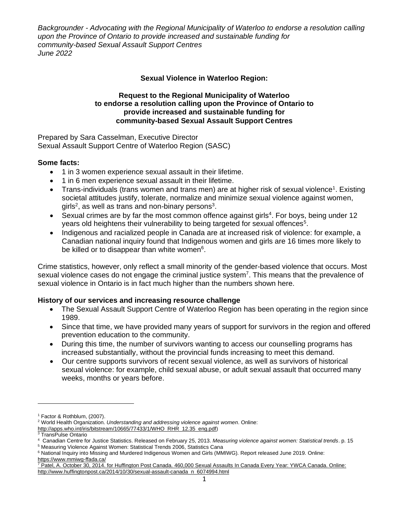# **Sexual Violence in Waterloo Region:**

#### **Request to the Regional Municipality of Waterloo to endorse a resolution calling upon the Province of Ontario to provide increased and sustainable funding for community-based Sexual Assault Support Centres**

Prepared by Sara Casselman, Executive Director Sexual Assault Support Centre of Waterloo Region (SASC)

# **Some facts:**

- 1 in 3 women experience sexual assault in their lifetime.
- 1 in 6 men experience sexual assault in their lifetime.
- Trans-individuals (trans women and trans men) are at higher risk of sexual violence<sup>1</sup>. Existing societal attitudes justify, tolerate, normalize and minimize sexual violence against women, girls<sup>2</sup>, as well as trans and non-binary persons<sup>3</sup>.
- Sexual crimes are by far the most common offence against girls<sup>4</sup>. For boys, being under 12 years old heightens their vulnerability to being targeted for sexual offences<sup>5</sup>.
- Indigenous and racialized people in Canada are at increased risk of violence: for example, a Canadian national inquiry found that Indigenous women and girls are 16 times more likely to be killed or to disappear than white women<sup>6</sup>.

Crime statistics, however, only reflect a small minority of the gender-based violence that occurs. Most sexual violence cases do not engage the criminal justice system<sup>7</sup>. This means that the prevalence of sexual violence in Ontario is in fact much higher than the numbers shown here.

# **History of our services and increasing resource challenge**

- The Sexual Assault Support Centre of Waterloo Region has been operating in the region since 1989.
- Since that time, we have provided many years of support for survivors in the region and offered prevention education to the community.
- During this time, the number of survivors wanting to access our counselling programs has increased substantially, without the provincial funds increasing to meet this demand.
- Our centre supports survivors of recent sexual violence, as well as survivors of historical sexual violence: for example, child sexual abuse, or adult sexual assault that occurred many weeks, months or years before.

<sup>1</sup> Factor & Rothblum, (2007).

<sup>2</sup> World Health Organization. *Understanding and addressing violence against women*. Online:

[http://apps.who.int/iris/bitstream/10665/77433/1/WHO\\_RHR\\_12.35\\_eng.pdf\)](http://apps.who.int/iris/bitstream/10665/77433/1/WHO_RHR_12.35_eng.pdf)

<sup>3</sup> TransPulse Ontario

<sup>4</sup> Canadian Centre for Justice Statistics. Released on February 25, 2013. *Measuring violence against women: Statistical trends*. p. 15

<sup>5</sup> Measuring Violence Against Women: Statistical Trends 2006, Statistics Cana

<sup>6</sup> National Inquiry into Missing and Murdered Indigenous Women and Girls (MMIWG). Report released June 2019. Online: <https://www.mmiwg-ffada.ca/>

<sup>7</sup> Patel, A. October 30, 2014. for Huffington Post Canada. 460,000 Sexual Assaults In Canada Every Year: YWCA Canada. Online: [http://www.huffingtonpost.ca/2014/10/30/sexual-assault-canada\\_n\\_6074994.html](http://www.huffingtonpost.ca/2014/10/30/sexual-assault-canada_n_6074994.html)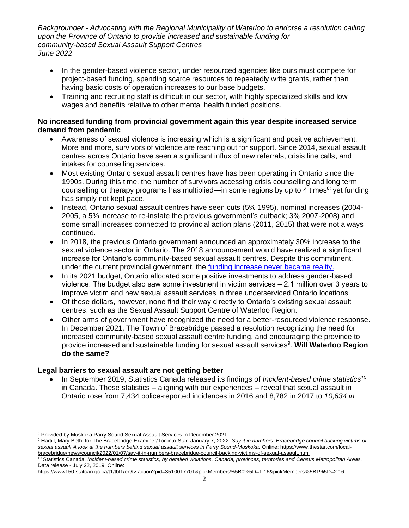- In the gender-based violence sector, under resourced agencies like ours must compete for project-based funding, spending scarce resources to repeatedly write grants, rather than having basic costs of operation increases to our base budgets.
- Training and recruiting staff is difficult in our sector, with highly specialized skills and low wages and benefits relative to other mental health funded positions.

# **No increased funding from provincial government again this year despite increased service demand from pandemic**

- Awareness of sexual violence is increasing which is a significant and positive achievement. More and more, survivors of violence are reaching out for support. Since 2014, sexual assault centres across Ontario have seen a significant influx of new referrals, crisis line calls, and intakes for counselling services.
- Most existing Ontario sexual assault centres have has been operating in Ontario since the 1990s. During this time, the number of survivors accessing crisis counselling and long term counselling or therapy programs has multiplied—in some regions by up to 4 times<sup>8;</sup> yet funding has simply not kept pace.
- Instead, Ontario sexual assault centres have seen cuts (5% 1995), nominal increases (2004- 2005, a 5% increase to re-instate the previous government's cutback; 3% 2007-2008) and some small increases connected to provincial action plans (2011, 2015) that were not always continued.
- In 2018, the previous Ontario government announced an approximately 30% increase to the sexual violence sector in Ontario. The 2018 announcement would have realized a significant increase for Ontario's community-based sexual assault centres. Despite this commitment, under the current provincial government, the [funding increase never became reality.](https://www.theglobeandmail.com/canada/article-ontario-rape-crisis-centres-still-awaiting-funding-promised-under/)
- In its 2021 budget, Ontario allocated some positive investments to address gender-based violence. The budget also saw some investment in victim services ‒ 2.1 million over 3 years to improve victim and new sexual assault services in three underserviced Ontario locations
- Of these dollars, however, none find their way directly to Ontario's existing sexual assault centres, such as the Sexual Assault Support Centre of Waterloo Region.
- Other arms of government have recognized the need for a better-resourced violence response. In December 2021, The Town of Bracebridge passed a resolution recognizing the need for increased community-based sexual assault centre funding, and encouraging the province to provide increased and sustainable funding for sexual assault services<sup>9</sup>. Will Waterloo Region **do the same?**

# **Legal barriers to sexual assault are not getting better**

• In September 2019, Statistics Canada released its findings of *Incident-based crime statistics<sup>10</sup>* in Canada. These statistics – aligning with our experiences – reveal that sexual assault in Ontario rose from 7,434 police-reported incidences in 2016 and 8,782 in 2017 to *10,634 in* 

<sup>8</sup> Provided by Muskoka Parry Sound Sexual Assault Services in December 2021.

<sup>9</sup> Hartill, Mary Beth, for The Bracebridge Examiner/Toronto Star. January 7, 2022. *Say it in numbers: Bracebridge council backing victims of sexual assault A look at the numbers behind sexual assault services in Parry Sound-Muskoka.* Online: [https://www.thestar.com/local](https://www.thestar.com/local-bracebridge/news/council/2022/01/07/say-it-in-numbers-bracebridge-council-backing-victims-of-sexual-assault.html)[bracebridge/news/council/2022/01/07/say-it-in-numbers-bracebridge-council-backing-victims-of-sexual-assault.html](https://www.thestar.com/local-bracebridge/news/council/2022/01/07/say-it-in-numbers-bracebridge-council-backing-victims-of-sexual-assault.html)

<sup>10</sup> Statistics Canada. *Incident-based crime statistics, by detailed violations, Canada, provinces, territories and Census Metropolitan Areas.* Data release - July 22, 2019. Online:

<https://www150.statcan.gc.ca/t1/tbl1/en/tv.action?pid=3510017701&pickMembers%5B0%5D=1.16&pickMembers%5B1%5D=2.16>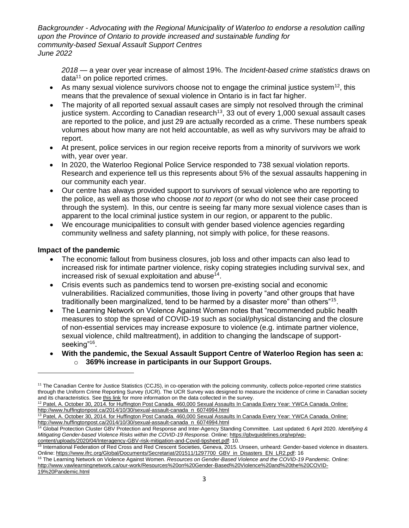*2018* — a year over year increase of almost 19%. The *Incident-based crime statistics* draws on  $data<sup>11</sup>$  on police reported crimes.

- As many sexual violence survivors choose not to engage the criminal justice system<sup>12</sup>, this means that the prevalence of sexual violence in Ontario is in fact far higher.
- The majority of all reported sexual assault cases are simply not resolved through the criminal justice system. According to Canadian research<sup>13</sup>, 33 out of every 1,000 sexual assault cases are reported to the police, and just 29 are actually recorded as a crime. These numbers speak volumes about how many are not held accountable, as well as why survivors may be afraid to report.
- At present, police services in our region receive reports from a minority of survivors we work with, year over year.
- In 2020, the Waterloo Regional Police Service responded to 738 sexual violation reports. Research and experience tell us this represents about 5% of the sexual assaults happening in our community each year.
- Our centre has always provided support to survivors of sexual violence who are reporting to the police, as well as those who choose *not to report* (or who do not see their case proceed through the system). In this, our centre is seeing far many more sexual violence cases than is apparent to the local criminal justice system in our region, or apparent to the public.
- We encourage municipalities to consult with gender based violence agencies regarding community wellness and safety planning, not simply with police, for these reasons.

### **Impact of the pandemic**

- The economic fallout from business closures, job loss and other impacts can also lead to increased risk for intimate partner violence, risky coping strategies including survival sex, and increased risk of sexual exploitation and abuse $^{14}$ .
- Crisis events such as pandemics tend to worsen pre-existing social and economic vulnerabilities. Racialized communities, those living in poverty "and other groups that have traditionally been marginalized, tend to be harmed by a disaster more" than others"<sup>15</sup>.
- The Learning Network on Violence Against Women notes that "recommended public health measures to stop the spread of COVID-19 such as social/physical distancing and the closure of non-essential services may increase exposure to violence (e.g. intimate partner violence, sexual violence, child maltreatment), in addition to changing the landscape of supportseeking"<sup>16</sup>.
- **With the pandemic, the Sexual Assault Support Centre of Waterloo Region has seen a:** o **369% increase in participants in our Support Groups.**

<sup>&</sup>lt;sup>11</sup> The Canadian Centre for Justice Statistics (CCJS), in co-operation with the policing community, collects police-reported crime statistics through the Uniform Crime Reporting Survey (UCR). The UCR Survey was designed to measure the incidence of crime in Canadian society and its characteristics. Se[e this link](http://www23.statcan.gc.ca/imdb/p2SV.pl?Function=getSurvey&SDDS=3302) for more information on the data collected in the survey.

<sup>&</sup>lt;sup>12</sup> Patel, A. October 30, 2014. for Huffington Post Canada. 460,000 Sexual Assaults In Canada Every Year: YWCA Canada. Online: [http://www.huffingtonpost.ca/2014/10/30/sexual-assault-canada\\_n\\_6074994.html](http://www.huffingtonpost.ca/2014/10/30/sexual-assault-canada_n_6074994.html)

<sup>&</sup>lt;sup>13</sup> Patel, A. October 30, 2014. for Huffington Post Canada. 460,000 Sexual Assaults In Canada Every Year: YWCA Canada. Online: [http://www.huffingtonpost.ca/2014/10/30/sexual-assault-canada\\_n\\_6074994.html](http://www.huffingtonpost.ca/2014/10/30/sexual-assault-canada_n_6074994.html)

<sup>14</sup> Global Protection Cluster GBV Protection and Response and Inter-Agency Standing Committee. Last updated: 6 April 2020. *Identifying & Mitigating Gender-based Violence Risks within the COVID-19 Response.* Online: [https://gbvguidelines.org/wp/wp](https://gbvguidelines.org/wp/wp-content/uploads/2020/04/Interagency-GBV-risk-mitigation-and-Covid-tipsheet.pdf)[content/uploads/2020/04/Interagency-GBV-risk-mitigation-and-Covid-tipsheet.pdf:](https://gbvguidelines.org/wp/wp-content/uploads/2020/04/Interagency-GBV-risk-mitigation-and-Covid-tipsheet.pdf) 10.

<sup>15</sup> International Federation of Red Cross and Red Crescent Societies, Geneva, 2015. Unseen, unheard: Gender-based violence in disasters. Online: [https://www.ifrc.org/Global/Documents/Secretariat/201511/1297700\\_GBV\\_in\\_Disasters\\_EN\\_LR2.pdf:](https://www.ifrc.org/Global/Documents/Secretariat/201511/1297700_GBV_in_Disasters_EN_LR2.pdf) 16

<sup>16</sup> The Learning Network on Violence Against Women. *Resources on Gender-Based Violence and the COVID-19 Pandemic.* Online: [http://www.vawlearningnetwork.ca/our-work/Resources%20on%20Gender-Based%20Violence%20and%20the%20COVID-](http://www.vawlearningnetwork.ca/our-work/Resources%20on%20Gender-Based%20Violence%20and%20the%20COVID-19%20Pandemic.html)[19%20Pandemic.html](http://www.vawlearningnetwork.ca/our-work/Resources%20on%20Gender-Based%20Violence%20and%20the%20COVID-19%20Pandemic.html)